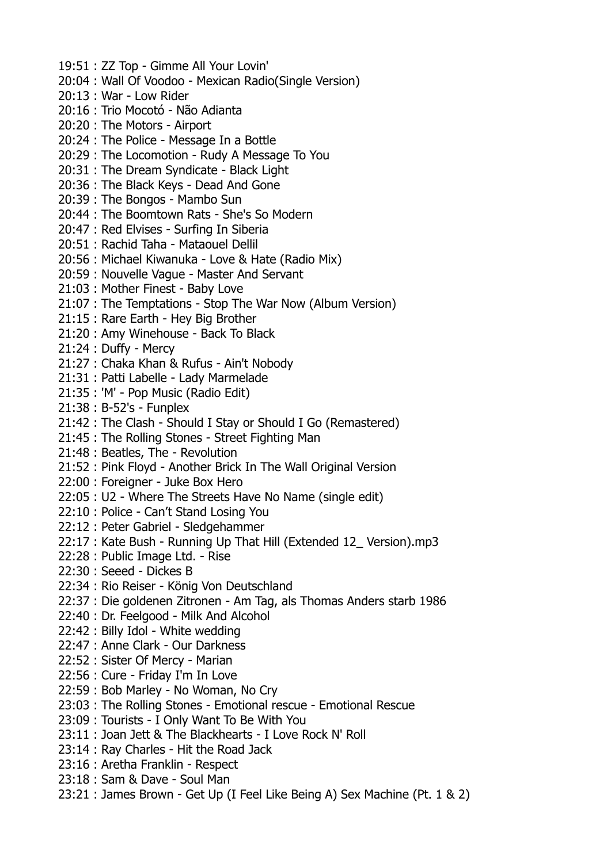19:51 : ZZ Top - Gimme All Your Lovin' 20:04 : Wall Of Voodoo - Mexican Radio(Single Version) 20:13 : War - Low Rider 20:16 : Trio Mocotó - Não Adianta 20:20 : The Motors - Airport 20:24 : The Police - Message In a Bottle 20:29 : The Locomotion - Rudy A Message To You 20:31 : The Dream Syndicate - Black Light 20:36 : The Black Keys - Dead And Gone 20:39 : The Bongos - Mambo Sun 20:44 : The Boomtown Rats - She's So Modern 20:47 : Red Elvises - Surfing In Siberia 20:51 : Rachid Taha - Mataouel Dellil 20:56 : Michael Kiwanuka - Love & Hate (Radio Mix) 20:59 : Nouvelle Vague - Master And Servant 21:03 : Mother Finest - Baby Love 21:07 : The Temptations - Stop The War Now (Album Version) 21:15 : Rare Earth - Hey Big Brother 21:20 : Amy Winehouse - Back To Black 21:24 : Duffy - Mercy 21:27 : Chaka Khan & Rufus - Ain't Nobody 21:31 : Patti Labelle - Lady Marmelade 21:35 : 'M' - Pop Music (Radio Edit) 21:38 : B-52's - Funplex 21:42 : The Clash - Should I Stay or Should I Go (Remastered) 21:45 : The Rolling Stones - Street Fighting Man 21:48 : Beatles, The - Revolution 21:52 : Pink Floyd - Another Brick In The Wall Original Version 22:00 : Foreigner - Juke Box Hero 22:05 : U2 - Where The Streets Have No Name (single edit) 22:10 : Police - Can't Stand Losing You 22:12 : Peter Gabriel - Sledgehammer 22:17 : Kate Bush - Running Up That Hill (Extended 12\_ Version).mp3 22:28 : Public Image Ltd. - Rise 22:30 : Seeed - Dickes B 22:34 : Rio Reiser - König Von Deutschland 22:37 : Die goldenen Zitronen - Am Tag, als Thomas Anders starb 1986 22:40 : Dr. Feelgood - Milk And Alcohol 22:42 : Billy Idol - White wedding 22:47 : Anne Clark - Our Darkness 22:52 : Sister Of Mercy - Marian 22:56 : Cure - Friday I'm In Love 22:59 : Bob Marley - No Woman, No Cry 23:03 : The Rolling Stones - Emotional rescue - Emotional Rescue 23:09 : Tourists - I Only Want To Be With You 23:11 : Joan Jett & The Blackhearts - I Love Rock N' Roll 23:14 : Ray Charles - Hit the Road Jack 23:16 : Aretha Franklin - Respect 23:18 : Sam & Dave - Soul Man 23:21 : James Brown - Get Up (I Feel Like Being A) Sex Machine (Pt. 1 & 2)